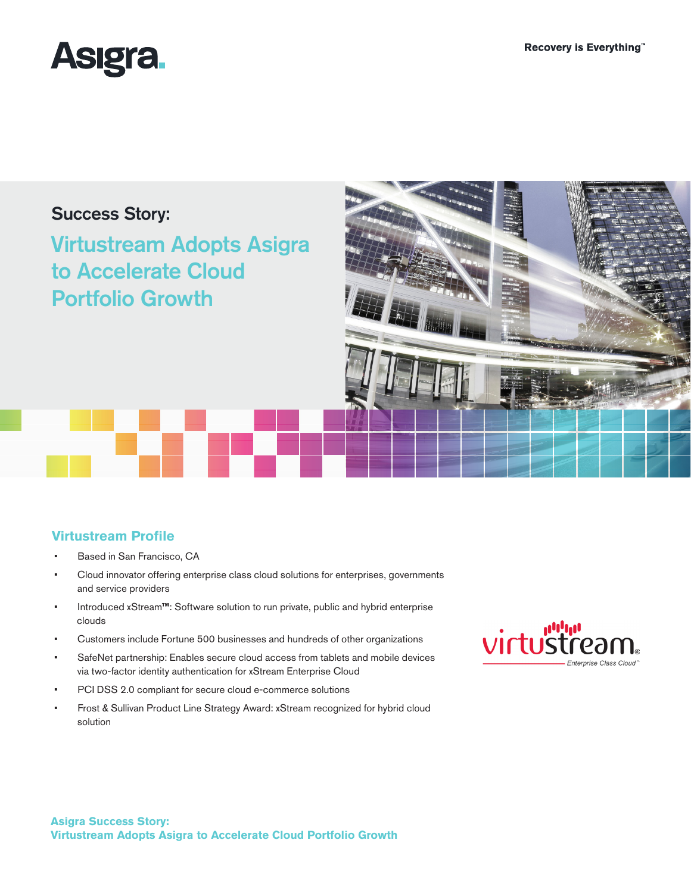

# Success Story:

Virtustream Adopts Asigra to Accelerate Cloud Portfolio Growth



## **Virtustream Profile**

- Based in San Francisco, CA
- Cloud innovator offering enterprise class cloud solutions for enterprises, governments and service providers
- Introduced xStream<sup>™</sup>: Software solution to run private, public and hybrid enterprise clouds
- Customers include Fortune 500 businesses and hundreds of other organizations
- SafeNet partnership: Enables secure cloud access from tablets and mobile devices via two-factor identity authentication for xStream Enterprise Cloud
- PCI DSS 2.0 compliant for secure cloud e-commerce solutions
- Frost & Sullivan Product Line Strategy Award: xStream recognized for hybrid cloud solution

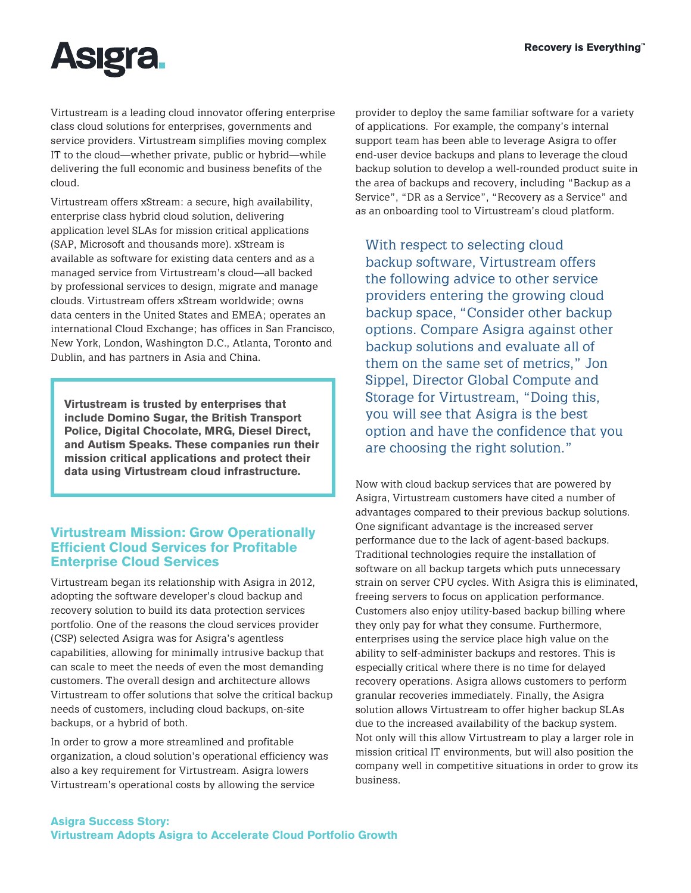

Virtustream is a leading cloud innovator offering enterprise class cloud solutions for enterprises, governments and service providers. Virtustream simplifies moving complex IT to the cloud—whether private, public or hybrid—while delivering the full economic and business benefits of the cloud.

Virtustream offers xStream: a secure, high availability, enterprise class hybrid cloud solution, delivering application level SLAs for mission critical applications (SAP, Microsoft and thousands more). xStream is available as software for existing data centers and as a managed service from Virtustream's cloud—all backed by professional services to design, migrate and manage clouds. Virtustream offers xStream worldwide; owns data centers in the United States and EMEA; operates an international Cloud Exchange; has offices in San Francisco, New York, London, Washington D.C., Atlanta, Toronto and Dublin, and has partners in Asia and China.

**Virtustream is trusted by enterprises that include Domino Sugar, the British Transport Police, Digital Chocolate, MRG, Diesel Direct, and Autism Speaks. These companies run their mission critical applications and protect their data using Virtustream cloud infrastructure.**

## **Virtustream Mission: Grow Operationally Efficient Cloud Services for Profitable Enterprise Cloud Services**

Virtustream began its relationship with Asigra in 2012, adopting the software developer's cloud backup and recovery solution to build its data protection services portfolio. One of the reasons the cloud services provider (CSP) selected Asigra was for Asigra's agentless capabilities, allowing for minimally intrusive backup that can scale to meet the needs of even the most demanding customers. The overall design and architecture allows Virtustream to offer solutions that solve the critical backup needs of customers, including cloud backups, on-site backups, or a hybrid of both.

In order to grow a more streamlined and profitable organization, a cloud solution's operational efficiency was also a key requirement for Virtustream. Asigra lowers Virtustream's operational costs by allowing the service

provider to deploy the same familiar software for a variety of applications. For example, the company's internal support team has been able to leverage Asigra to offer end-user device backups and plans to leverage the cloud backup solution to develop a well-rounded product suite in the area of backups and recovery, including "Backup as a Service", "DR as a Service", "Recovery as a Service" and as an onboarding tool to Virtustream's cloud platform.

With respect to selecting cloud backup software, Virtustream offers the following advice to other service providers entering the growing cloud backup space, "Consider other backup options. Compare Asigra against other backup solutions and evaluate all of them on the same set of metrics," Jon Sippel, Director Global Compute and Storage for Virtustream, "Doing this, you will see that Asigra is the best option and have the confidence that you are choosing the right solution."

Now with cloud backup services that are powered by Asigra, Virtustream customers have cited a number of advantages compared to their previous backup solutions. One significant advantage is the increased server performance due to the lack of agent-based backups. Traditional technologies require the installation of software on all backup targets which puts unnecessary strain on server CPU cycles. With Asigra this is eliminated, freeing servers to focus on application performance. Customers also enjoy utility-based backup billing where they only pay for what they consume. Furthermore, enterprises using the service place high value on the ability to self-administer backups and restores. This is especially critical where there is no time for delayed recovery operations. Asigra allows customers to perform granular recoveries immediately. Finally, the Asigra solution allows Virtustream to offer higher backup SLAs due to the increased availability of the backup system. Not only will this allow Virtustream to play a larger role in mission critical IT environments, but will also position the company well in competitive situations in order to grow its business.

#### **Asigra Success Story: Virtustream Adopts Asigra to Accelerate Cloud Portfolio Growth**